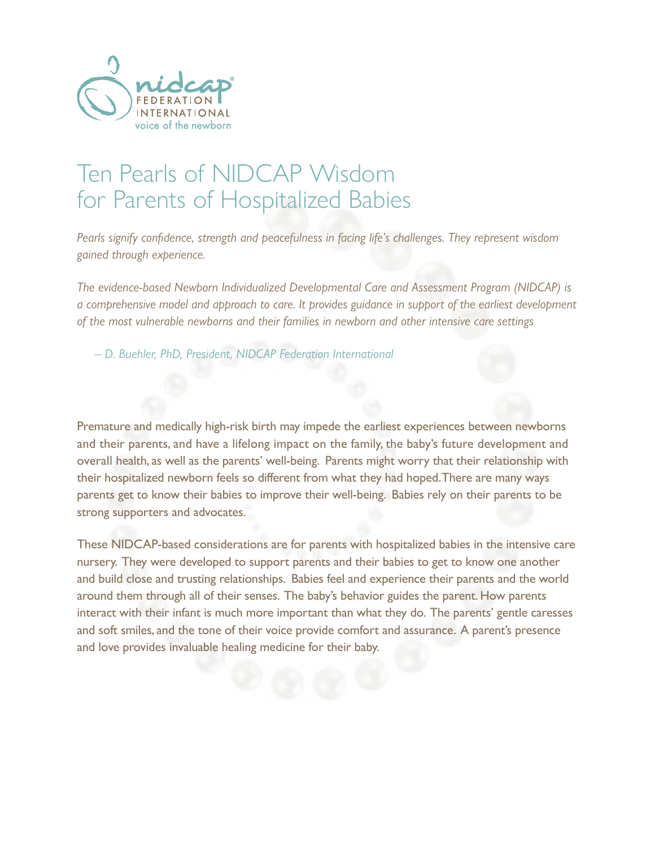

*Pearls signify confidence, strength and peacefulness in facing life's challenges. They represent wisdom gained through experience.*

*The evidence-based Newborn Individualized Developmental Care and Assessment Program (NIDCAP) is a comprehensive model and approach to care. It provides guidance in support of the earliest development of the most vulnerable newborns and their families in newborn and other intensive care settings*

*– D. Buehler, PhD, President, NIDCAP Federation International* 

Premature and medically high-risk birth may impede the earliest experiences between newborns and their parents, and have a lifelong impact on the family, the baby's future development and overall health, as well as the parents' well-being. Parents might worry that their relationship with their hospitalized newborn feels so different from what they had hoped. There are many ways parents get to know their babies to improve their well-being. Babies rely on their parents to be strong supporters and advocates.

These NIDCAP-based considerations are for parents with hospitalized babies in the intensive care nursery. They were developed to support parents and their babies to get to know one another and build close and trusting relationships. Babies feel and experience their parents and the world around them through all of their senses. The baby's behavior guides the parent. How parents interact with their infant is much more important than what they do. The parents' gentle caresses and soft smiles, and the tone of their voice provide comfort and assurance. A parent's presence and love provides invaluable healing medicine for their baby.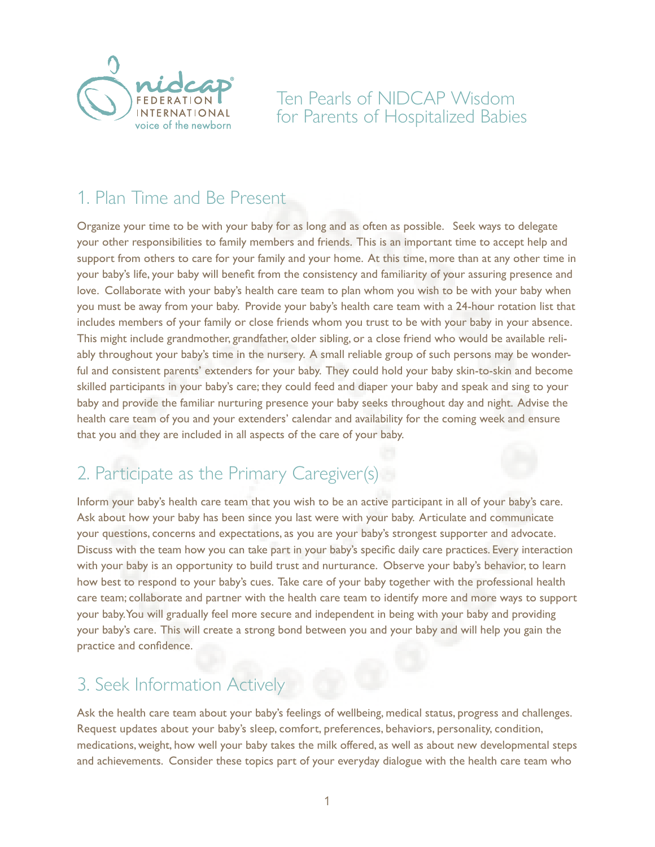

# 1. Plan Time and Be Present

Organize your time to be with your baby for as long and as often as possible. Seek ways to delegate your other responsibilities to family members and friends. This is an important time to accept help and support from others to care for your family and your home. At this time, more than at any other time in your baby's life, your baby will benefit from the consistency and familiarity of your assuring presence and love. Collaborate with your baby's health care team to plan whom you wish to be with your baby when you must be away from your baby. Provide your baby's health care team with a 24-hour rotation list that includes members of your family or close friends whom you trust to be with your baby in your absence. This might include grandmother, grandfather, older sibling, or a close friend who would be available reliably throughout your baby's time in the nursery. A small reliable group of such persons may be wonderful and consistent parents' extenders for your baby. They could hold your baby skin-to-skin and become skilled participants in your baby's care; they could feed and diaper your baby and speak and sing to your baby and provide the familiar nurturing presence your baby seeks throughout day and night. Advise the health care team of you and your extenders' calendar and availability for the coming week and ensure that you and they are included in all aspects of the care of your baby.

# 2. Participate as the Primary Caregiver(s)

Inform your baby's health care team that you wish to be an active participant in all of your baby's care. Ask about how your baby has been since you last were with your baby. Articulate and communicate your questions, concerns and expectations, as you are your baby's strongest supporter and advocate. Discuss with the team how you can take part in your baby's specific daily care practices. Every interaction with your baby is an opportunity to build trust and nurturance. Observe your baby's behavior, to learn how best to respond to your baby's cues. Take care of your baby together with the professional health care team; collaborate and partner with the health care team to identify more and more ways to support your baby. You will gradually feel more secure and independent in being with your baby and providing your baby's care. This will create a strong bond between you and your baby and will help you gain the practice and confidence.

#### 3. Seek Information Actively

Ask the health care team about your baby's feelings of wellbeing, medical status, progress and challenges. Request updates about your baby's sleep, comfort, preferences, behaviors, personality, condition, medications, weight, how well your baby takes the milk offered, as well as about new developmental steps and achievements. Consider these topics part of your everyday dialogue with the health care team who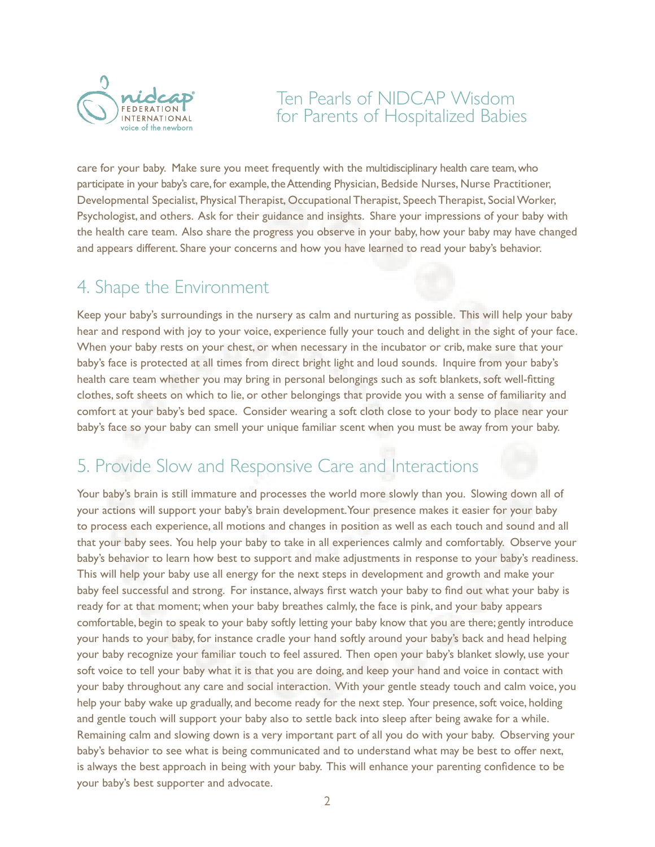

care for your baby. Make sure you meet frequently with the multidisciplinary health care team, who participate in your baby's care, for example, the Attending Physician, Bedside Nurses, Nurse Practitioner, Developmental Specialist, Physical Therapist, Occupational Therapist, Speech Therapist, Social Worker, Psychologist, and others. Ask for their guidance and insights. Share your impressions of your baby with the health care team. Also share the progress you observe in your baby, how your baby may have changed and appears different. Share your concerns and how you have learned to read your baby's behavior.

## 4. Shape the Environment

Keep your baby's surroundings in the nursery as calm and nurturing as possible. This will help your baby hear and respond with joy to your voice, experience fully your touch and delight in the sight of your face. When your baby rests on your chest, or when necessary in the incubator or crib, make sure that your baby's face is protected at all times from direct bright light and loud sounds. Inquire from your baby's health care team whether you may bring in personal belongings such as soft blankets, soft well-fitting clothes, soft sheets on which to lie, or other belongings that provide you with a sense of familiarity and comfort at your baby's bed space. Consider wearing a soft cloth close to your body to place near your baby's face so your baby can smell your unique familiar scent when you must be away from your baby.

### 5. Provide Slow and Responsive Care and Interactions

Your baby's brain is still immature and processes the world more slowly than you. Slowing down all of your actions will support your baby's brain development. Your presence makes it easier for your baby to process each experience, all motions and changes in position as well as each touch and sound and all that your baby sees. You help your baby to take in all experiences calmly and comfortably. Observe your baby's behavior to learn how best to support and make adjustments in response to your baby's readiness. This will help your baby use all energy for the next steps in development and growth and make your baby feel successful and strong. For instance, always first watch your baby to find out what your baby is ready for at that moment; when your baby breathes calmly, the face is pink, and your baby appears comfortable, begin to speak to your baby softly letting your baby know that you are there; gently introduce your hands to your baby, for instance cradle your hand softly around your baby's back and head helping your baby recognize your familiar touch to feel assured. Then open your baby's blanket slowly, use your soft voice to tell your baby what it is that you are doing, and keep your hand and voice in contact with your baby throughout any care and social interaction. With your gentle steady touch and calm voice, you help your baby wake up gradually, and become ready for the next step. Your presence, soft voice, holding and gentle touch will support your baby also to settle back into sleep after being awake for a while. Remaining calm and slowing down is a very important part of all you do with your baby. Observing your baby's behavior to see what is being communicated and to understand what may be best to offer next, is always the best approach in being with your baby. This will enhance your parenting confidence to be your baby's best supporter and advocate.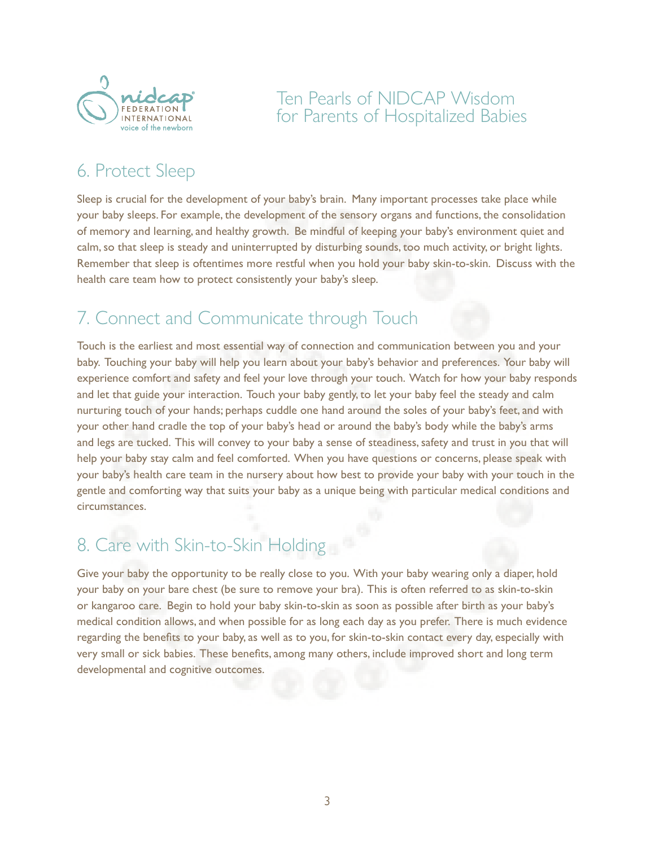

# 6. Protect Sleep

Sleep is crucial for the development of your baby's brain. Many important processes take place while your baby sleeps. For example, the development of the sensory organs and functions, the consolidation of memory and learning, and healthy growth. Be mindful of keeping your baby's environment quiet and calm, so that sleep is steady and uninterrupted by disturbing sounds, too much activity, or bright lights. Remember that sleep is oftentimes more restful when you hold your baby skin-to-skin. Discuss with the health care team how to protect consistently your baby's sleep.

# 7. Connect and Communicate through Touch

Touch is the earliest and most essential way of connection and communication between you and your baby. Touching your baby will help you learn about your baby's behavior and preferences. Your baby will experience comfort and safety and feel your love through your touch. Watch for how your baby responds and let that guide your interaction. Touch your baby gently, to let your baby feel the steady and calm nurturing touch of your hands; perhaps cuddle one hand around the soles of your baby's feet, and with your other hand cradle the top of your baby's head or around the baby's body while the baby's arms and legs are tucked. This will convey to your baby a sense of steadiness, safety and trust in you that will help your baby stay calm and feel comforted. When you have questions or concerns, please speak with your baby's health care team in the nursery about how best to provide your baby with your touch in the gentle and comforting way that suits your baby as a unique being with particular medical conditions and circumstances.

# 8. Care with Skin-to-Skin Holding

Give your baby the opportunity to be really close to you. With your baby wearing only a diaper, hold your baby on your bare chest (be sure to remove your bra). This is often referred to as skin-to-skin or kangaroo care. Begin to hold your baby skin-to-skin as soon as possible after birth as your baby's medical condition allows, and when possible for as long each day as you prefer. There is much evidence regarding the benefits to your baby, as well as to you, for skin-to-skin contact every day, especially with very small or sick babies. These benefits, among many others, include improved short and long term developmental and cognitive outcomes.